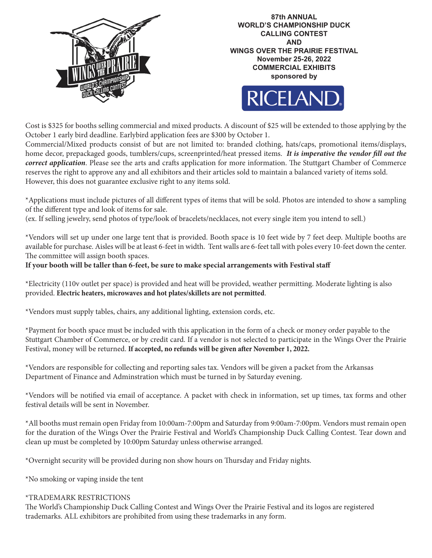





Cost is \$325 for booths selling commercial and mixed products. A discount of \$25 will be extended to those applying by the October 1 early bird deadline. Earlybird application fees are \$300 by October 1.

Commercial/Mixed products consist of but are not limited to: branded clothing, hats/caps, promotional items/displays, home decor, prepackaged goods, tumblers/cups, screenprinted/heat pressed items. *It is imperative the vendor fill out the correct application*. Please see the arts and crafts application for more information. The Stuttgart Chamber of Commerce reserves the right to approve any and all exhibitors and their articles sold to maintain a balanced variety of items sold. However, this does not guarantee exclusive right to any items sold.

\*Applications must include pictures of all different types of items that will be sold. Photos are intended to show a sampling of the different type and look of items for sale.

(ex. If selling jewelry, send photos of type/look of bracelets/necklaces, not every single item you intend to sell.)

\*Vendors will set up under one large tent that is provided. Booth space is 10 feet wide by 7 feet deep. Multiple booths are available for purchase. Aisles will be at least 6-feet in width. Tent walls are 6-feet tall with poles every 10-feet down the center. The committee will assign booth spaces.

## **If your booth will be taller than 6-feet, be sure to make special arrangements with Festival staff**

\*Electricity (110v outlet per space) is provided and heat will be provided, weather permitting. Moderate lighting is also provided. **Electric heaters, microwaves and hot plates/skillets are not permitted**.

\*Vendors must supply tables, chairs, any additional lighting, extension cords, etc.

\*Payment for booth space must be included with this application in the form of a check or money order payable to the Stuttgart Chamber of Commerce, or by credit card. If a vendor is not selected to participate in the Wings Over the Prairie Festival, money will be returned. **If accepted, no refunds will be given after November 1, 2022.**

\*Vendors are responsible for collecting and reporting sales tax. Vendors will be given a packet from the Arkansas Department of Finance and Adminstration which must be turned in by Saturday evening.

\*Vendors will be notified via email of acceptance. A packet with check in information, set up times, tax forms and other festival details will be sent in November.

\*All booths must remain open Friday from 10:00am-7:00pm and Saturday from 9:00am-7:00pm. Vendors must remain open for the duration of the Wings Over the Prairie Festival and World's Championship Duck Calling Contest. Tear down and clean up must be completed by 10:00pm Saturday unless otherwise arranged.

\*Overnight security will be provided during non show hours on Thursday and Friday nights.

\*No smoking or vaping inside the tent

## \*TRADEMARK RESTRICTIONS

The World's Championship Duck Calling Contest and Wings Over the Prairie Festival and its logos are registered trademarks. ALL exhibitors are prohibited from using these trademarks in any form.